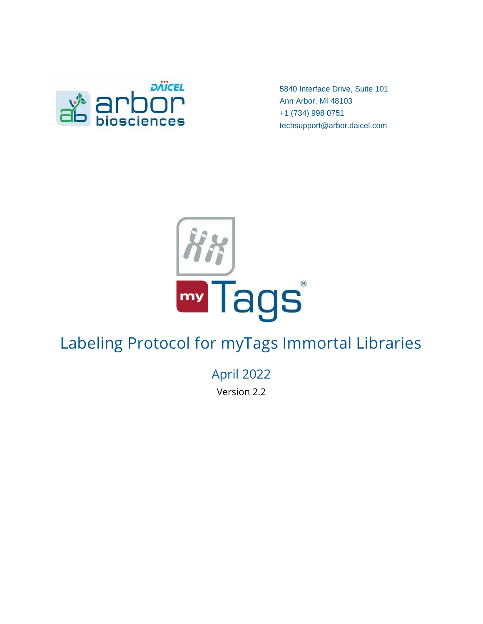

5840 Interface Drive, Suite 101 Ann Arbor, MI 48103 +1 (734) 998 0751 techsupport@arbor.daicel.com



# Labeling Protocol for myTags Immortal Libraries

April 2022

Version 2.2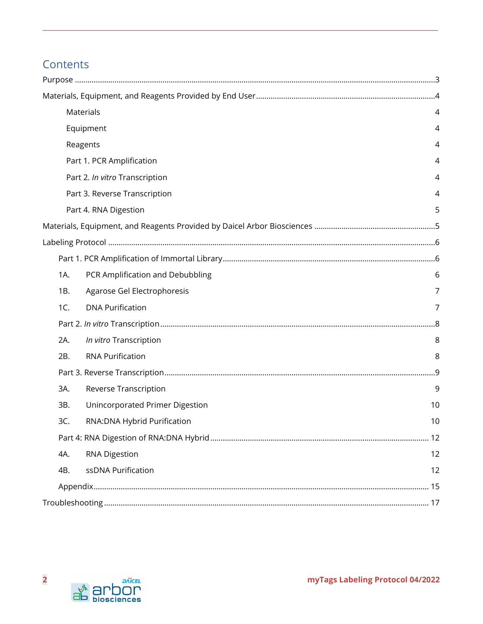# **Contents**

|     | Materials                        | 4  |
|-----|----------------------------------|----|
|     | Equipment                        | 4  |
|     | Reagents                         | 4  |
|     | Part 1. PCR Amplification        | 4  |
|     | Part 2. In vitro Transcription   | 4  |
|     | Part 3. Reverse Transcription    | 4  |
|     | Part 4. RNA Digestion            | 5  |
|     |                                  |    |
|     |                                  |    |
|     |                                  |    |
| 1A. | PCR Amplification and Debubbling | 6  |
| 1B. | Agarose Gel Electrophoresis      | 7  |
| 1C. | <b>DNA Purification</b>          | 7  |
|     |                                  |    |
| 2A. | In vitro Transcription           | 8  |
| 2B. | <b>RNA Purification</b>          | 8  |
|     |                                  |    |
| 3A. | Reverse Transcription            | 9  |
| 3B. | Unincorporated Primer Digestion  | 10 |
| 3C. | RNA: DNA Hybrid Purification     | 10 |
|     |                                  |    |
| 4A. | <b>RNA Digestion</b>             | 12 |
| 4B. | ssDNA Purification               | 12 |
|     |                                  |    |
|     |                                  |    |

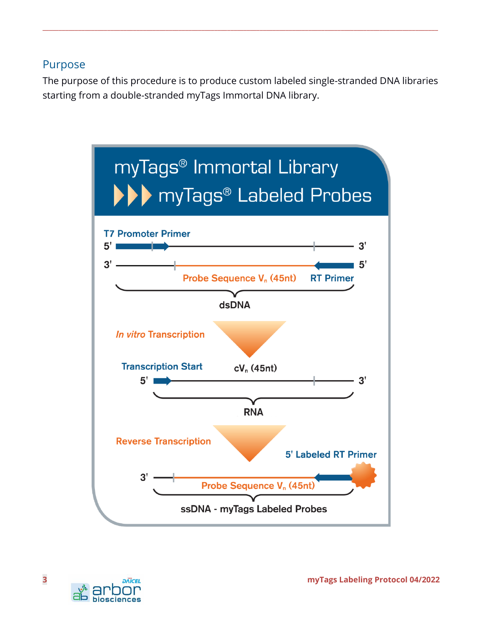# <span id="page-2-0"></span>Purpose

The purpose of this procedure is to produce custom labeled single-stranded DNA libraries starting from a double-stranded myTags Immortal DNA library.



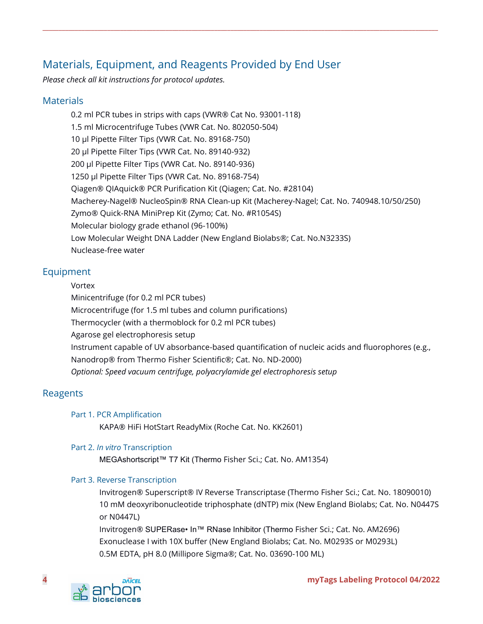# <span id="page-3-0"></span>Materials, Equipment, and Reagents Provided by End User

*Please check all kit instructions for protocol updates.*

### <span id="page-3-1"></span>**Materials**

0.2 ml PCR tubes in strips with caps (VWR® Cat No. 93001-118) 1.5 ml Microcentrifuge Tubes (VWR Cat. No. 802050-504) 10 µl Pipette Filter Tips (VWR Cat. No. 89168-750) 20 µl Pipette Filter Tips (VWR Cat. No. 89140-932) 200 µl Pipette Filter Tips (VWR Cat. No. 89140-936) 1250 µl Pipette Filter Tips (VWR Cat. No. 89168-754) Qiagen® QIAquick® PCR Purification Kit (Qiagen; Cat. No. #28104) Macherey-Nagel® NucleoSpin® RNA Clean‑up Kit (Macherey-Nagel; Cat. No. 740948.10/50/250) Zymo® Quick-RNA MiniPrep Kit (Zymo; Cat. No. #R1054S) Molecular biology grade ethanol (96-100%) Low Molecular Weight DNA Ladder (New England Biolabs®; Cat. No.N3233S) Nuclease-free water

**\_\_\_\_\_\_\_\_\_\_\_\_\_\_\_\_\_\_\_\_\_\_\_\_\_\_\_\_\_\_\_\_\_\_\_\_\_\_\_\_\_\_\_\_\_\_\_\_\_\_\_\_\_\_\_\_\_\_\_\_\_\_\_\_\_\_\_\_\_\_\_\_\_\_\_\_\_\_\_\_\_\_\_\_\_\_\_\_\_\_\_\_\_\_\_\_\_\_\_\_\_\_\_\_\_\_\_\_\_\_\_\_\_\_\_\_\_\_\_\_\_\_**

### <span id="page-3-2"></span>Equipment

#### Vortex

Minicentrifuge (for 0.2 ml PCR tubes)

Microcentrifuge (for 1.5 ml tubes and column purifications)

Thermocycler (with a thermoblock for 0.2 ml PCR tubes)

Agarose gel electrophoresis setup

Instrument capable of UV absorbance-based quantification of nucleic acids and fluorophores (e.g., Nanodrop® from Thermo Fisher Scientific®; Cat. No. ND-2000)

*Optional: Speed vacuum centrifuge, polyacrylamide gel electrophoresis setup*

### <span id="page-3-4"></span><span id="page-3-3"></span>Reagents

#### Part 1. PCR Amplification

KAPA® HiFi HotStart ReadyMix (Roche Cat. No. KK2601)

#### <span id="page-3-5"></span>Part 2. *In vitro* Transcription

MEGAshortscript™ T7 Kit (Thermo Fisher Sci.; Cat. No. AM1354)

#### <span id="page-3-6"></span>Part 3. Reverse Transcription

Invitrogen® Superscript® IV Reverse Transcriptase (Thermo Fisher Sci.; Cat. No. 18090010) 10 mM deoxyribonucleotide triphosphate (dNTP) mix (New England Biolabs; Cat. No. N0447S or N0447L)

Invitrogen® SUPERase• In™ RNase Inhibitor (Thermo Fisher Sci.; Cat. No. AM2696) Exonuclease I with 10X buffer (New England Biolabs; Cat. No. M0293S or M0293L) 0.5M EDTA, pH 8.0 (Millipore Sigma®; Cat. No. 03690-100 ML)

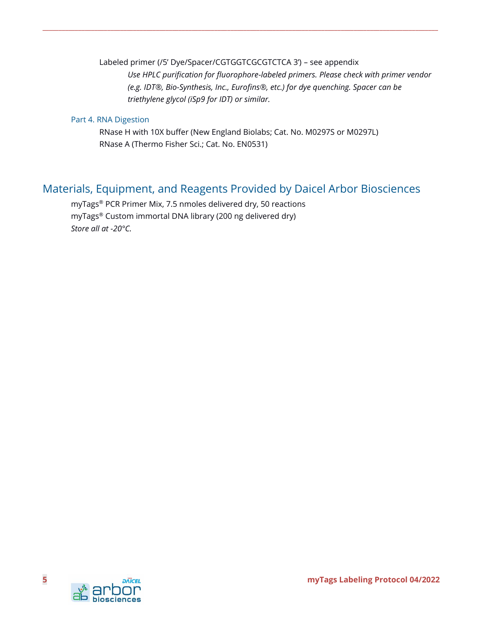Labeled primer (/5' Dye/Spacer/CGTGGTCGCGTCTCA 3') – see appendix *Use HPLC purification for fluorophore-labeled primers. Please check with primer vendor (e.g. IDT®, Bio-Synthesis, Inc., Eurofins®, etc.) for dye quenching. Spacer can be triethylene glycol (iSp9 for IDT) or similar.* 

#### <span id="page-4-0"></span>Part 4. RNA Digestion

RNase H with 10X buffer (New England Biolabs; Cat. No. M0297S or M0297L) RNase A (Thermo Fisher Sci.; Cat. No. EN0531)

**\_\_\_\_\_\_\_\_\_\_\_\_\_\_\_\_\_\_\_\_\_\_\_\_\_\_\_\_\_\_\_\_\_\_\_\_\_\_\_\_\_\_\_\_\_\_\_\_\_\_\_\_\_\_\_\_\_\_\_\_\_\_\_\_\_\_\_\_\_\_\_\_\_\_\_\_\_\_\_\_\_\_\_\_\_\_\_\_\_\_\_\_\_\_\_\_\_\_\_\_\_\_\_\_\_\_\_\_\_\_\_\_\_\_\_\_\_\_\_\_\_\_**

# <span id="page-4-1"></span>Materials, Equipment, and Reagents Provided by Daicel Arbor Biosciences

myTags® PCR Primer Mix, 7.5 nmoles delivered dry, 50 reactions myTags® Custom immortal DNA library (200 ng delivered dry) *Store all at -20°C.*

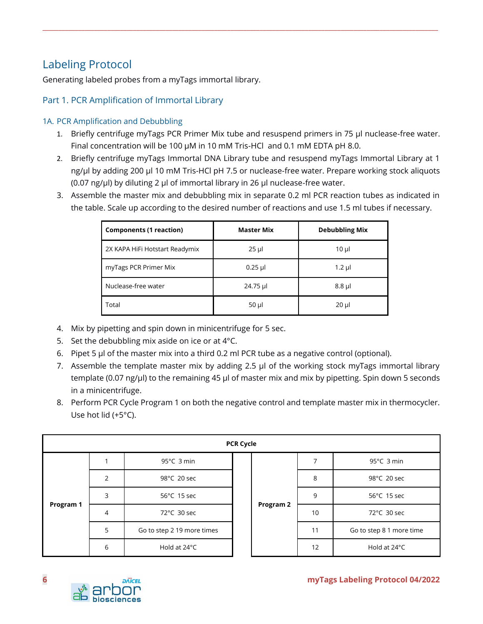# <span id="page-5-0"></span>Labeling Protocol

Generating labeled probes from a myTags immortal library.

### <span id="page-5-1"></span>Part 1. PCR Amplification of Immortal Library

#### <span id="page-5-2"></span>1A. PCR Amplification and Debubbling

1. Briefly centrifuge myTags PCR Primer Mix tube and resuspend primers in 75 µl nuclease-free water. Final concentration will be 100 µM in 10 mM Tris-HCl and 0.1 mM EDTA pH 8.0.

- 2. Briefly centrifuge myTags Immortal DNA Library tube and resuspend myTags Immortal Library at 1 ng/µl by adding 200 µl 10 mM Tris-HCl pH 7.5 or nuclease-free water. Prepare working stock aliquots (0.07 ng/ $\mu$ l) by diluting 2  $\mu$ l of immortal library in 26  $\mu$ l nuclease-free water.
- 3. Assemble the master mix and debubbling mix in separate 0.2 ml PCR reaction tubes as indicated in the table. Scale up according to the desired number of reactions and use 1.5 ml tubes if necessary.

| <b>Components (1 reaction)</b> | <b>Master Mix</b> | <b>Debubbling Mix</b> |
|--------------------------------|-------------------|-----------------------|
| 2X KAPA HiFi Hotstart Readymix | $25$ µl           | $10 \mu$              |
| myTags PCR Primer Mix          | $0.25$ µl         | $1.2$ µl              |
| Nuclease-free water            | 24.75 µl          | $8.8$ µl              |
| Total                          | $50 \mu$          | $20 \mu$              |

- 4. Mix by pipetting and spin down in minicentrifuge for 5 sec.
- 5. Set the debubbling mix aside on ice or at 4°C.
- 6. Pipet 5 µl of the master mix into a third 0.2 ml PCR tube as a negative control (optional).
- 7. Assemble the template master mix by adding 2.5 µl of the working stock myTags immortal library template (0.07 ng/µl) to the remaining 45 µl of master mix and mix by pipetting. Spin down 5 seconds in a minicentrifuge.
- 8. Perform PCR Cycle Program 1 on both the negative control and template master mix in thermocycler. Use hot lid (+5°C).

| <b>PCR Cycle</b> |                |                            |           |    |                          |                      |
|------------------|----------------|----------------------------|-----------|----|--------------------------|----------------------|
|                  |                | 95°C 3 min                 |           |    | 7                        | $95^{\circ}$ C 3 min |
|                  | $\overline{2}$ | 98°C 20 sec                | Program 2 | 8  | 98°C 20 sec              |                      |
|                  | 3              | 56°C 15 sec                |           | 9  | 56°C 15 sec              |                      |
| Program 1        | 4              | 72°C 30 sec                |           | 10 | 72°C 30 sec              |                      |
|                  | 5              | Go to step 2 19 more times |           | 11 | Go to step 8 1 more time |                      |
|                  | 6              | Hold at 24°C               |           |    |                          | 12                   |

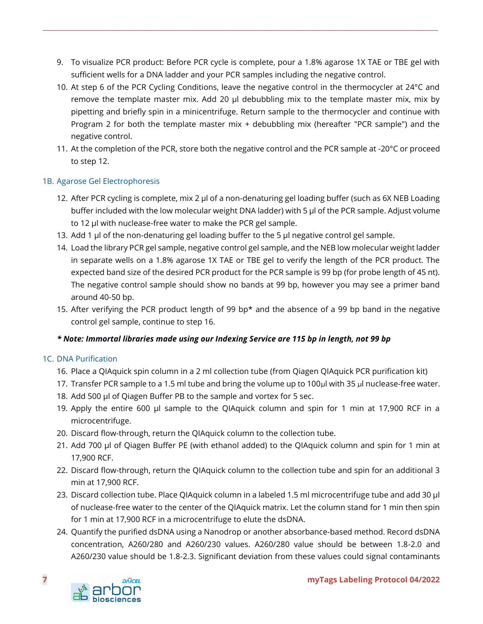9. To visualize PCR product: Before PCR cycle is complete, pour a 1.8% agarose 1X TAE or TBE gel with sufficient wells for a DNA ladder and your PCR samples including the negative control.

**\_\_\_\_\_\_\_\_\_\_\_\_\_\_\_\_\_\_\_\_\_\_\_\_\_\_\_\_\_\_\_\_\_\_\_\_\_\_\_\_\_\_\_\_\_\_\_\_\_\_\_\_\_\_\_\_\_\_\_\_\_\_\_\_\_\_\_\_\_\_\_\_\_\_\_\_\_\_\_\_\_\_\_\_\_\_\_\_\_\_\_\_\_\_\_\_\_\_\_\_\_\_\_\_\_\_\_\_\_\_\_\_\_\_\_\_\_\_\_\_\_\_**

- 10. At step 6 of the PCR Cycling Conditions, leave the negative control in the thermocycler at 24°C and remove the template master mix. Add 20 µl debubbling mix to the template master mix, mix by pipetting and briefly spin in a minicentrifuge. Return sample to the thermocycler and continue with Program 2 for both the template master mix + debubbling mix (hereafter "PCR sample") and the negative control.
- 11. At the completion of the PCR, store both the negative control and the PCR sample at -20°C or proceed to step 12.

#### <span id="page-6-0"></span>1B. Agarose Gel Electrophoresis

- 12. After PCR cycling is complete, mix 2 µl of a non-denaturing gel loading buffer (such as 6X NEB Loading buffer included with the low molecular weight DNA ladder) with 5 µl of the PCR sample. Adjust volume to 12 µl with nuclease-free water to make the PCR gel sample.
- 13. Add 1 µl of the non-denaturing gel loading buffer to the 5 µl negative control gel sample.
- 14. Load the library PCR gel sample, negative control gel sample, and the NEB low molecular weight ladder in separate wells on a 1.8% agarose 1X TAE or TBE gel to verify the length of the PCR product. The expected band size of the desired PCR product for the PCR sample is 99 bp (for probe length of 45 nt). The negative control sample should show no bands at 99 bp, however you may see a primer band around 40-50 bp.
- 15. After verifying the PCR product length of 99 bp\* and the absence of a 99 bp band in the negative control gel sample, continue to step 16.

#### *\* Note: Immortal libraries made using our Indexing Service are 115 bp in length, not 99 bp*

#### <span id="page-6-1"></span>1C. DNA Purification

- 16. Place a QIAquick spin column in a 2 ml collection tube (from Qiagen QIAquick PCR purification kit)
- 17. Transfer PCR sample to a 1.5 ml tube and bring the volume up to 100µl with 35 µl nuclease-free water.
- 18. Add 500 µl of Qiagen Buffer PB to the sample and vortex for 5 sec.
- 19. Apply the entire 600 µl sample to the QIAquick column and spin for 1 min at 17,900 RCF in a microcentrifuge.
- 20. Discard flow-through, return the QIAquick column to the collection tube.
- 21. Add 700 µl of Qiagen Buffer PE (with ethanol added) to the QIAquick column and spin for 1 min at 17,900 RCF.
- 22. Discard flow-through, return the QIAquick column to the collection tube and spin for an additional 3 min at 17,900 RCF.
- 23. Discard collection tube. Place QIAquick column in a labeled 1.5 ml microcentrifuge tube and add 30 µl of nuclease-free water to the center of the QIAquick matrix. Let the column stand for 1 min then spin for 1 min at 17,900 RCF in a microcentrifuge to elute the dsDNA.
- 24. Quantify the purified dsDNA using a Nanodrop or another absorbance-based method. Record dsDNA concentration, A260/280 and A260/230 values. A260/280 value should be between 1.8-2.0 and A260/230 value should be 1.8-2.3. Significant deviation from these values could signal contaminants

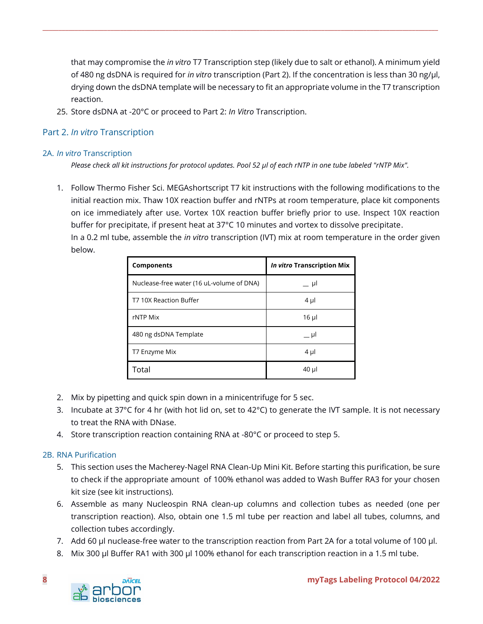that may compromise the *in vitro* T7 Transcription step (likely due to salt or ethanol). A minimum yield of 480 ng dsDNA is required for *in vitro* transcription (Part 2). If the concentration is less than 30 ng/µl, drying down the dsDNA template will be necessary to fit an appropriate volume in the T7 transcription reaction.

**\_\_\_\_\_\_\_\_\_\_\_\_\_\_\_\_\_\_\_\_\_\_\_\_\_\_\_\_\_\_\_\_\_\_\_\_\_\_\_\_\_\_\_\_\_\_\_\_\_\_\_\_\_\_\_\_\_\_\_\_\_\_\_\_\_\_\_\_\_\_\_\_\_\_\_\_\_\_\_\_\_\_\_\_\_\_\_\_\_\_\_\_\_\_\_\_\_\_\_\_\_\_\_\_\_\_\_\_\_\_\_\_\_\_\_\_\_\_\_\_\_\_**

25. Store dsDNA at -20°C or proceed to Part 2: *In Vitro* Transcription.

#### <span id="page-7-0"></span>Part 2. *In vitro* Transcription

#### <span id="page-7-1"></span>2A. *In vitro* Transcription

*Please check all kit instructions for protocol updates. Pool 52 µl of each rNTP in one tube labeled "rNTP Mix".*

1. Follow Thermo Fisher Sci. MEGAshortscript T7 kit instructions with the following modifications to the initial reaction mix. Thaw 10X reaction buffer and rNTPs at room temperature, place kit components on ice immediately after use. Vortex 10X reaction buffer briefly prior to use. Inspect 10X reaction buffer for precipitate, if present heat at 37°C 10 minutes and vortex to dissolve precipitate. In a 0.2 ml tube, assemble the *in vitro* transcription (IVT) mix at room temperature in the order given below.

| <b>Components</b>                         | In vitro Transcription Mix |
|-------------------------------------------|----------------------------|
| Nuclease-free water (16 uL-volume of DNA) | __ µI                      |
| T7 10X Reaction Buffer                    | $4 \mu$                    |
| rNTP Mix                                  | $16$ µ                     |
| 480 ng dsDNA Template                     | – µI                       |
| T7 Enzyme Mix                             | $4 \mu$                    |
| Total                                     | 40 µl                      |

- 2. Mix by pipetting and quick spin down in a minicentrifuge for 5 sec.
- 3. Incubate at 37°C for 4 hr (with hot lid on, set to 42°C) to generate the IVT sample. It is not necessary to treat the RNA with DNase.
- 4. Store transcription reaction containing RNA at -80°C or proceed to step 5.

#### <span id="page-7-2"></span>2B. RNA Purification

- 5. This section uses the Macherey-Nagel RNA Clean-Up Mini Kit. Before starting this purification, be sure to check if the appropriate amount of 100% ethanol was added to Wash Buffer RA3 for your chosen kit size (see kit instructions).
- 6. Assemble as many Nucleospin RNA clean-up columns and collection tubes as needed (one per transcription reaction). Also, obtain one 1.5 ml tube per reaction and label all tubes, columns, and collection tubes accordingly.
- 7. Add 60 µl nuclease-free water to the transcription reaction from Part 2A for a total volume of 100 µl.
- 8. Mix 300 µl Buffer RA1 with 300 µl 100% ethanol for each transcription reaction in a 1.5 ml tube.

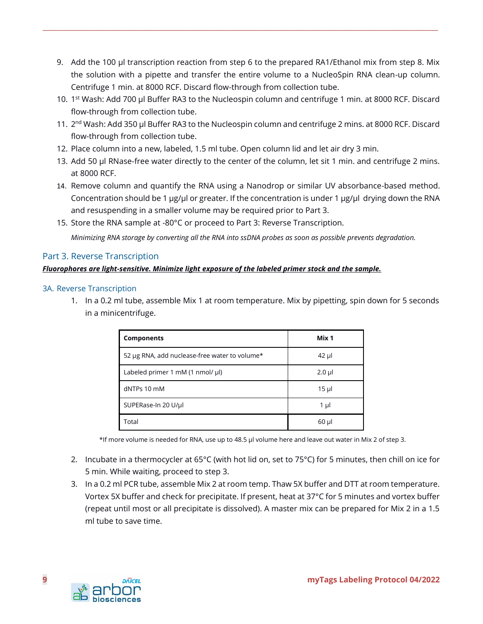9. Add the 100 µl transcription reaction from step 6 to the prepared RA1/Ethanol mix from step 8. Mix the solution with a pipette and transfer the entire volume to a NucleoSpin RNA clean-up column. Centrifuge 1 min. at 8000 RCF. Discard flow-through from collection tube.

**\_\_\_\_\_\_\_\_\_\_\_\_\_\_\_\_\_\_\_\_\_\_\_\_\_\_\_\_\_\_\_\_\_\_\_\_\_\_\_\_\_\_\_\_\_\_\_\_\_\_\_\_\_\_\_\_\_\_\_\_\_\_\_\_\_\_\_\_\_\_\_\_\_\_\_\_\_\_\_\_\_\_\_\_\_\_\_\_\_\_\_\_\_\_\_\_\_\_\_\_\_\_\_\_\_\_\_\_\_\_\_\_\_\_\_\_\_\_\_\_\_\_**

- 10. 1<sup>st</sup> Wash: Add 700 µl Buffer RA3 to the Nucleospin column and centrifuge 1 min. at 8000 RCF. Discard flow-through from collection tube.
- 11. 2<sup>nd</sup> Wash: Add 350 µl Buffer RA3 to the Nucleospin column and centrifuge 2 mins. at 8000 RCF. Discard flow-through from collection tube.
- 12. Place column into a new, labeled, 1.5 ml tube. Open column lid and let air dry 3 min.
- 13. Add 50 µl RNase-free water directly to the center of the column, let sit 1 min. and centrifuge 2 mins. at 8000 RCF.
- 14. Remove column and quantify the RNA using a Nanodrop or similar UV absorbance-based method. Concentration should be 1 µg/µl or greater. If the concentration is under 1 µg/µl drying down the RNA and resuspending in a smaller volume may be required prior to Part 3.
- 15. Store the RNA sample at -80°C or proceed to Part 3: Reverse Transcription.

*Minimizing RNA storage by converting all the RNA into ssDNA probes as soon as possible prevents degradation.* 

#### <span id="page-8-0"></span>Part 3. Reverse Transcription

#### *Fluorophores are light-sensitive. Minimize light exposure of the labeled primer stock and the sample.*

#### <span id="page-8-1"></span>3A. Reverse Transcription

1. In a 0.2 ml tube, assemble Mix 1 at room temperature. Mix by pipetting, spin down for 5 seconds in a minicentrifuge.

| <b>Components</b>                                   | Mix 1    |
|-----------------------------------------------------|----------|
| 52 µg RNA, add nuclease-free water to volume*       | $42$ µl  |
| Labeled primer 1 mM $(1 \text{ nmol/} \mu\text{l})$ | $2.0$ µl |
| dNTPs 10 mM                                         | $15 \mu$ |
| SUPERase-In 20 U/µl                                 | 1 µl     |
| Total                                               | $60$ µl  |

\*If more volume is needed for RNA, use up to 48.5 µl volume here and leave out water in Mix 2 of step 3.

- 2. Incubate in a thermocycler at 65°C (with hot lid on, set to 75°C) for 5 minutes, then chill on ice for 5 min. While waiting, proceed to step 3.
- 3. In a 0.2 ml PCR tube, assemble Mix 2 at room temp. Thaw 5X buffer and DTT at room temperature. Vortex 5X buffer and check for precipitate. If present, heat at 37°C for 5 minutes and vortex buffer (repeat until most or all precipitate is dissolved). A master mix can be prepared for Mix 2 in a 1.5 ml tube to save time.

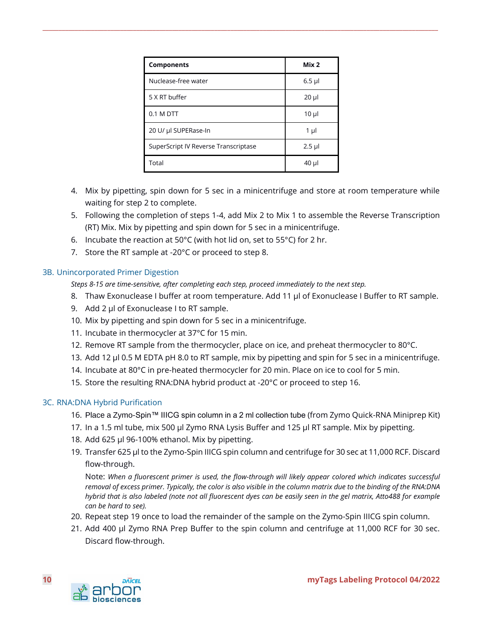| <b>Components</b>                    | Mix <sub>2</sub> |
|--------------------------------------|------------------|
| Nuclease-free water                  | $6.5$ µl         |
| 5 X RT buffer                        | $20 \mu$         |
| $0.1 M$ DTT                          | $10 \mu$         |
| 20 U/ µl SUPERase-In                 | 1 µl             |
| SuperScript IV Reverse Transcriptase | $2.5$ µl         |
| Total                                | 40 µl            |

**\_\_\_\_\_\_\_\_\_\_\_\_\_\_\_\_\_\_\_\_\_\_\_\_\_\_\_\_\_\_\_\_\_\_\_\_\_\_\_\_\_\_\_\_\_\_\_\_\_\_\_\_\_\_\_\_\_\_\_\_\_\_\_\_\_\_\_\_\_\_\_\_\_\_\_\_\_\_\_\_\_\_\_\_\_\_\_\_\_\_\_\_\_\_\_\_\_\_\_\_\_\_\_\_\_\_\_\_\_\_\_\_\_\_\_\_\_\_\_\_\_\_**

- 4. Mix by pipetting, spin down for 5 sec in a minicentrifuge and store at room temperature while waiting for step 2 to complete.
- 5. Following the completion of steps 1-4, add Mix 2 to Mix 1 to assemble the Reverse Transcription (RT) Mix. Mix by pipetting and spin down for 5 sec in a minicentrifuge.
- 6. Incubate the reaction at 50°C (with hot lid on, set to 55°C) for 2 hr.
- 7. Store the RT sample at -20°C or proceed to step 8.

#### <span id="page-9-0"></span>3B. Unincorporated Primer Digestion

*Steps 8-15 are time-sensitive, after completing each step, proceed immediately to the next step.*

- 8. Thaw Exonuclease I buffer at room temperature. Add 11 µl of Exonuclease I Buffer to RT sample.
- 9. Add 2 µl of Exonuclease I to RT sample.
- 10. Mix by pipetting and spin down for 5 sec in a minicentrifuge.
- 11. Incubate in thermocycler at 37°C for 15 min.
- 12. Remove RT sample from the thermocycler, place on ice, and preheat thermocycler to 80°C.
- 13. Add 12 µl 0.5 M EDTA pH 8.0 to RT sample, mix by pipetting and spin for 5 sec in a minicentrifuge.
- 14. Incubate at 80°C in pre-heated thermocycler for 20 min. Place on ice to cool for 5 min.
- 15. Store the resulting RNA:DNA hybrid product at -20°C or proceed to step 16.

#### <span id="page-9-1"></span>3C. RNA:DNA Hybrid Purification

- 16. Place a Zymo-Spin™ IIICG spin column in a 2 ml collection tube (from Zymo Quick-RNA Miniprep Kit)
- 17. In a 1.5 ml tube, mix 500 µl Zymo RNA Lysis Buffer and 125 µl RT sample. Mix by pipetting.
- 18. Add 625 µl 96-100% ethanol. Mix by pipetting.
- 19. Transfer 625 µl to the Zymo-Spin IIICG spin column and centrifuge for 30 sec at 11,000 RCF. Discard flow-through.

Note: *When a fluorescent primer is used, the flow-through will likely appear colored which indicates successful removal of excess primer. Typically, the color is also visible in the column matrix due to the binding of the RNA:DNA hybrid that is also labeled (note not all fluorescent dyes can be easily seen in the gel matrix, Atto488 for example can be hard to see).* 

- 20. Repeat step 19 once to load the remainder of the sample on the Zymo-Spin IIICG spin column.
- 21. Add 400 µl Zymo RNA Prep Buffer to the spin column and centrifuge at 11,000 RCF for 30 sec. Discard flow-through.

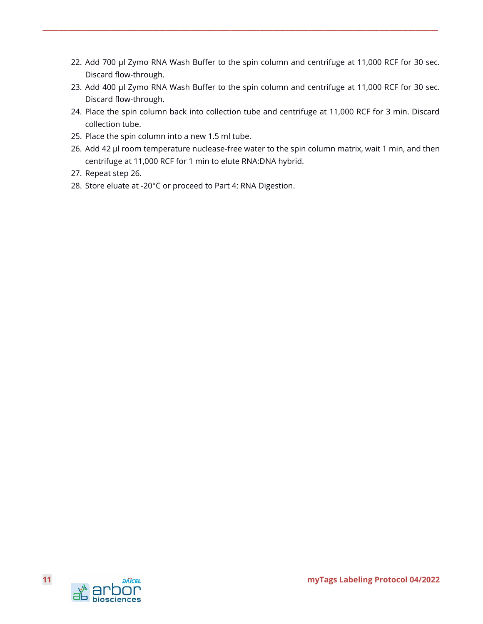22. Add 700 µl Zymo RNA Wash Buffer to the spin column and centrifuge at 11,000 RCF for 30 sec. Discard flow-through.

- 23. Add 400 µl Zymo RNA Wash Buffer to the spin column and centrifuge at 11,000 RCF for 30 sec. Discard flow-through.
- 24. Place the spin column back into collection tube and centrifuge at 11,000 RCF for 3 min. Discard collection tube.
- 25. Place the spin column into a new 1.5 ml tube.
- 26. Add 42 µl room temperature nuclease-free water to the spin column matrix, wait 1 min, and then centrifuge at 11,000 RCF for 1 min to elute RNA:DNA hybrid.
- 27. Repeat step 26.
- 28. Store eluate at -20°C or proceed to Part 4: RNA Digestion.

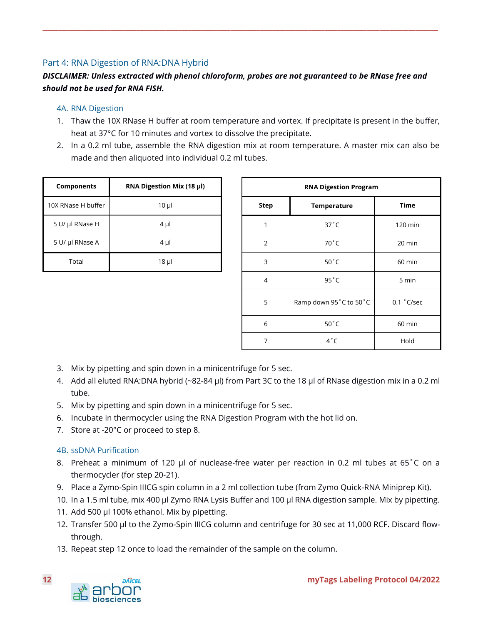### <span id="page-11-0"></span>Part 4: RNA Digestion of RNA:DNA Hybrid

### *DISCLAIMER: Unless extracted with phenol chloroform, probes are not guaranteed to be RNase free and should not be used for RNA FISH.*

**\_\_\_\_\_\_\_\_\_\_\_\_\_\_\_\_\_\_\_\_\_\_\_\_\_\_\_\_\_\_\_\_\_\_\_\_\_\_\_\_\_\_\_\_\_\_\_\_\_\_\_\_\_\_\_\_\_\_\_\_\_\_\_\_\_\_\_\_\_\_\_\_\_\_\_\_\_\_\_\_\_\_\_\_\_\_\_\_\_\_\_\_\_\_\_\_\_\_\_\_\_\_\_\_\_\_\_\_\_\_\_\_\_\_\_\_\_\_\_\_\_\_**

#### <span id="page-11-1"></span>4A. RNA Digestion

- 1. Thaw the 10X RNase H buffer at room temperature and vortex. If precipitate is present in the buffer, heat at 37°C for 10 minutes and vortex to dissolve the precipitate.
- 2. In a 0.2 ml tube, assemble the RNA digestion mix at room temperature. A master mix can also be made and then aliquoted into individual 0.2 ml tubes.

| Components         | RNA Digestion Mix (18 µl) | <b>RNA Digestion Program</b> |                    |
|--------------------|---------------------------|------------------------------|--------------------|
| 10X RNase H buffer | $10 \mu$                  | Step                         | <b>Temperature</b> |
| 5 U/ µl RNase H    | 4 µl                      |                              | $37^{\circ}$ C     |
| 5 U/ µl RNase A    | $4 \mu$                   | 2                            | $70^{\circ}$ C     |
| Total              | $18$ µ                    | 3                            | $50^{\circ}$ C     |

| Components         | RNA Digestion Mix (18 µl) | <b>RNA Digestion Program</b> |                        |                |
|--------------------|---------------------------|------------------------------|------------------------|----------------|
| 10X RNase H buffer | $10 \mu$                  | <b>Step</b>                  | Temperature            | <b>Time</b>    |
| 5 U/ µl RNase H    | $4 \mu$                   |                              | $37^{\circ}$ C         | 120 min        |
| 5 U/ µl RNase A    | $4 \mu$                   | $\overline{2}$               | 70°C                   | 20 min         |
| Total              | $18$ µl                   | 3                            | $50^{\circ}$ C         | 60 min         |
|                    |                           | $\overline{4}$               | $95^{\circ}$ C         | 5 min          |
|                    |                           | 5                            | Ramp down 95°C to 50°C | $0.1$ $°C/sec$ |
|                    |                           | 6                            | $50^{\circ}$ C         | 60 min         |
|                    |                           | 7                            | $4^{\circ}$ C          | Hold           |

- 3. Mix by pipetting and spin down in a minicentrifuge for 5 sec.
- 4. Add all eluted RNA:DNA hybrid (~82-84 µl) from Part 3C to the 18 µl of RNase digestion mix in a 0.2 ml tube.
- 5. Mix by pipetting and spin down in a minicentrifuge for 5 sec.
- 6. Incubate in thermocycler using the RNA Digestion Program with the hot lid on.
- 7. Store at -20°C or proceed to step 8.

#### <span id="page-11-2"></span>4B. ssDNA Purification

- 8. Preheat a minimum of 120 µl of nuclease-free water per reaction in 0.2 ml tubes at 65°C on a thermocycler (for step 20-21).
- 9. Place a Zymo-Spin IIICG spin column in a 2 ml collection tube (from Zymo Quick-RNA Miniprep Kit).
- 10. In a 1.5 ml tube, mix 400 µl Zymo RNA Lysis Buffer and 100 µl RNA digestion sample. Mix by pipetting.
- 11. Add 500 µl 100% ethanol. Mix by pipetting.
- 12. Transfer 500 µl to the Zymo-Spin IIICG column and centrifuge for 30 sec at 11,000 RCF. Discard flowthrough.
- 13. Repeat step 12 once to load the remainder of the sample on the column.

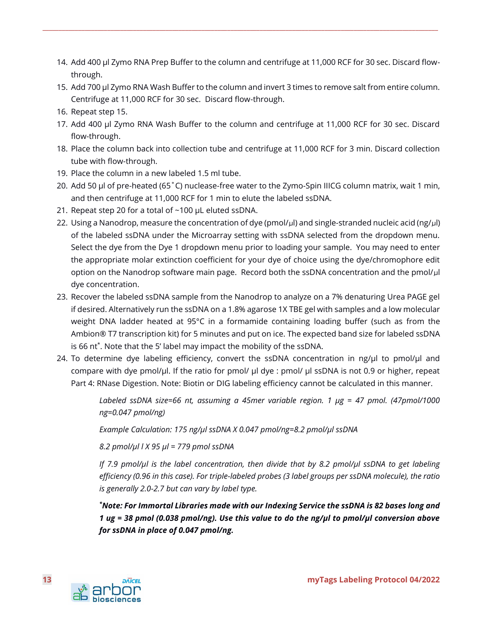14. Add 400 µl Zymo RNA Prep Buffer to the column and centrifuge at 11,000 RCF for 30 sec. Discard flowthrough.

**\_\_\_\_\_\_\_\_\_\_\_\_\_\_\_\_\_\_\_\_\_\_\_\_\_\_\_\_\_\_\_\_\_\_\_\_\_\_\_\_\_\_\_\_\_\_\_\_\_\_\_\_\_\_\_\_\_\_\_\_\_\_\_\_\_\_\_\_\_\_\_\_\_\_\_\_\_\_\_\_\_\_\_\_\_\_\_\_\_\_\_\_\_\_\_\_\_\_\_\_\_\_\_\_\_\_\_\_\_\_\_\_\_\_\_\_\_\_\_\_\_\_**

- 15. Add 700 µl Zymo RNA Wash Buffer to the column and invert 3 times to remove salt from entire column. Centrifuge at 11,000 RCF for 30 sec. Discard flow-through.
- 16. Repeat step 15.
- 17. Add 400 µl Zymo RNA Wash Buffer to the column and centrifuge at 11,000 RCF for 30 sec. Discard flow-through.
- 18. Place the column back into collection tube and centrifuge at 11,000 RCF for 3 min. Discard collection tube with flow-through.
- 19. Place the column in a new labeled 1.5 ml tube.
- 20. Add 50 µl of pre-heated (65˚C) nuclease-free water to the Zymo-Spin IIICG column matrix, wait 1 min, and then centrifuge at 11,000 RCF for 1 min to elute the labeled ssDNA.
- 21. Repeat step 20 for a total of ~100 µL eluted ssDNA.
- 22. Using a Nanodrop, measure the concentration of dye (pmol/µl) and single-stranded nucleic acid (ng/µl) of the labeled ssDNA under the Microarray setting with ssDNA selected from the dropdown menu. Select the dye from the Dye 1 dropdown menu prior to loading your sample. You may need to enter the appropriate molar extinction coefficient for your dye of choice using the dye/chromophore edit option on the Nanodrop software main page. Record both the ssDNA concentration and the pmol/µl dye concentration.
- 23. Recover the labeled ssDNA sample from the Nanodrop to analyze on a 7% denaturing Urea PAGE gel if desired. Alternatively run the ssDNA on a 1.8% agarose 1X TBE gel with samples and a low molecular weight DNA ladder heated at 95°C in a formamide containing loading buffer (such as from the Ambion® T7 transcription kit) for 5 minutes and put on ice. The expected band size for labeled ssDNA is 66 nt\* . Note that the 5' label may impact the mobility of the ssDNA.
- 24. To determine dye labeling efficiency, convert the ssDNA concentration in ng/µl to pmol/µl and compare with dye pmol/µl. If the ratio for pmol/ µl dye : pmol/ µl ssDNA is not 0.9 or higher, repeat Part 4: RNase Digestion. Note: Biotin or DIG labeling efficiency cannot be calculated in this manner.

*Labeled ssDNA size=66 nt, assuming a 45mer variable region. 1 µg = 47 pmol. (47pmol/1000 ng=0.047 pmol/ng)*

*Example Calculation: 175 ng/µl ssDNA X 0.047 pmol/ng=8.2 pmol/µl ssDNA*

*8.2 pmol/µl l X 95 µl = 779 pmol ssDNA*

*If 7.9 pmol/µl is the label concentration, then divide that by 8.2 pmol/µl ssDNA to get labeling efficiency (0.96 in this case). For triple-labeled probes (3 label groups per ssDNA molecule), the ratio is generally 2.0-2.7 but can vary by label type.*

*\*Note: For Immortal Libraries made with our Indexing Service the ssDNA is 82 bases long and 1 ug = 38 pmol (0.038 pmol/ng). Use this value to do the ng/µl to pmol/µl conversion above for ssDNA in place of 0.047 pmol/ng.*

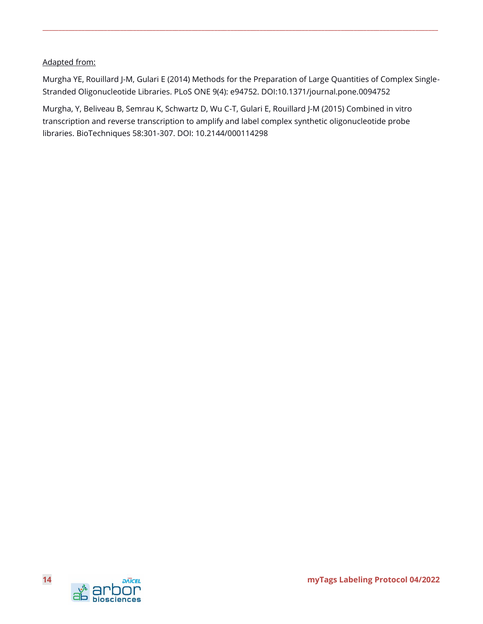#### Adapted from:

Murgha YE, Rouillard J-M, Gulari E (2014) Methods for the Preparation of Large Quantities of Complex Single-Stranded Oligonucleotide Libraries. PLoS ONE 9(4): e94752. DOI:10.1371/journal.pone.0094752

**\_\_\_\_\_\_\_\_\_\_\_\_\_\_\_\_\_\_\_\_\_\_\_\_\_\_\_\_\_\_\_\_\_\_\_\_\_\_\_\_\_\_\_\_\_\_\_\_\_\_\_\_\_\_\_\_\_\_\_\_\_\_\_\_\_\_\_\_\_\_\_\_\_\_\_\_\_\_\_\_\_\_\_\_\_\_\_\_\_\_\_\_\_\_\_\_\_\_\_\_\_\_\_\_\_\_\_\_\_\_\_\_\_\_\_\_\_\_\_\_\_\_**

Murgha, Y, Beliveau B, Semrau K, Schwartz D, Wu C-T, Gulari E, Rouillard J-M (2015) Combined in vitro transcription and reverse transcription to amplify and label complex synthetic oligonucleotide probe libraries. BioTechniques 58:301-307. DOI: 10.2144/000114298

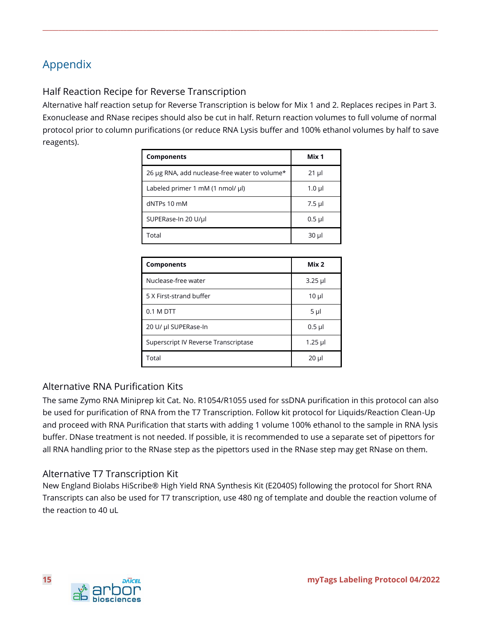# <span id="page-14-0"></span>Appendix

# Half Reaction Recipe for Reverse Transcription

Alternative half reaction setup for Reverse Transcription is below for Mix 1 and 2. Replaces recipes in Part 3. Exonuclease and RNase recipes should also be cut in half. Return reaction volumes to full volume of normal protocol prior to column purifications (or reduce RNA Lysis buffer and 100% ethanol volumes by half to save reagents).

**\_\_\_\_\_\_\_\_\_\_\_\_\_\_\_\_\_\_\_\_\_\_\_\_\_\_\_\_\_\_\_\_\_\_\_\_\_\_\_\_\_\_\_\_\_\_\_\_\_\_\_\_\_\_\_\_\_\_\_\_\_\_\_\_\_\_\_\_\_\_\_\_\_\_\_\_\_\_\_\_\_\_\_\_\_\_\_\_\_\_\_\_\_\_\_\_\_\_\_\_\_\_\_\_\_\_\_\_\_\_\_\_\_\_\_\_\_\_\_\_\_\_**

| <b>Components</b>                             | Mix 1     |
|-----------------------------------------------|-----------|
| 26 µg RNA, add nuclease-free water to volume* | $21 \mu$  |
| Labeled primer 1 mM $(1 \text{ nmol/} \mu)$   | $1.0 \mu$ |
| dNTPs 10 mM                                   | $7.5$ µl  |
| SUPERase-In 20 U/µl                           | $0.5$ µl  |
| Total                                         | 30 µl     |

| <b>Components</b>                    | Mix <sub>2</sub> |
|--------------------------------------|------------------|
| Nuclease-free water                  | $3.25$ µ         |
| 5 X First-strand buffer              | $10 \mu$         |
| 0.1 M DTT                            | $5 \mu$          |
| 20 U/ µl SUPERase-In                 | $0.5$ µl         |
| Superscript IV Reverse Transcriptase | $1.25$ µl        |
| Total                                | $20 \mu$         |

# Alternative RNA Purification Kits

The same Zymo RNA Miniprep kit Cat. No. R1054/R1055 used for ssDNA purification in this protocol can also be used for purification of RNA from the T7 Transcription. Follow kit protocol for Liquids/Reaction Clean-Up and proceed with RNA Purification that starts with adding 1 volume 100% ethanol to the sample in RNA lysis buffer. DNase treatment is not needed. If possible, it is recommended to use a separate set of pipettors for all RNA handling prior to the RNase step as the pipettors used in the RNase step may get RNase on them.

# Alternative T7 Transcription Kit

New England Biolabs HiScribe® High Yield RNA Synthesis Kit (E2040S) following the protocol for Short RNA Transcripts can also be used for T7 transcription, use 480 ng of template and double the reaction volume of the reaction to  $40$  uL

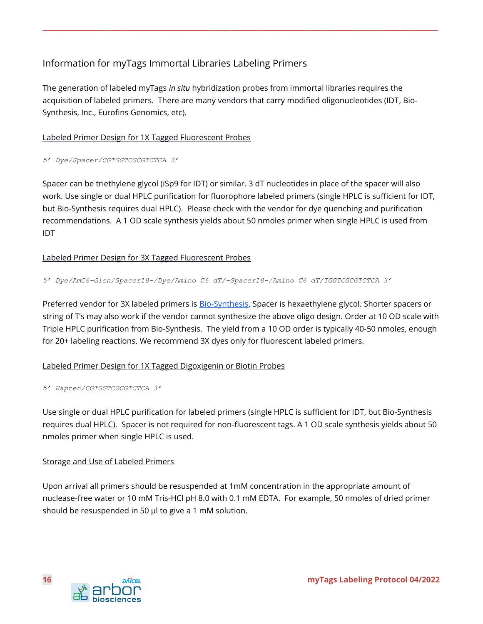# Information for myTags Immortal Libraries Labeling Primers

The generation of labeled myTags *in situ* hybridization probes from immortal libraries requires the acquisition of labeled primers. There are many vendors that carry modified oligonucleotides (IDT, Bio-Synthesis, Inc., Eurofins Genomics, etc).

**\_\_\_\_\_\_\_\_\_\_\_\_\_\_\_\_\_\_\_\_\_\_\_\_\_\_\_\_\_\_\_\_\_\_\_\_\_\_\_\_\_\_\_\_\_\_\_\_\_\_\_\_\_\_\_\_\_\_\_\_\_\_\_\_\_\_\_\_\_\_\_\_\_\_\_\_\_\_\_\_\_\_\_\_\_\_\_\_\_\_\_\_\_\_\_\_\_\_\_\_\_\_\_\_\_\_\_\_\_\_\_\_\_\_\_\_\_\_\_\_\_\_**

#### Labeled Primer Design for 1X Tagged Fluorescent Probes

*5' Dye/Spacer/CGTGGTCGCGTCTCA 3'*

Spacer can be triethylene glycol (iSp9 for IDT) or similar. 3 dT nucleotides in place of the spacer will also work. Use single or dual HPLC purification for fluorophore labeled primers (single HPLC is sufficient for IDT, but Bio-Synthesis requires dual HPLC). Please check with the vendor for dye quenching and purification recommendations. A 1 OD scale synthesis yields about 50 nmoles primer when single HPLC is used from IDT

#### Labeled Primer Design for 3X Tagged Fluorescent Probes

*5' Dye/AmC6-Glen/Spacer18-/Dye/Amino C6 dT/-Spacer18-/Amino C6 dT/TGGTCGCGTCTCA 3'*

Preferred vendor for 3X labeled primers is [Bio-Synthesis.](https://www.biosyn.com/oligonucleotide-modification-services.aspx) Spacer is hexaethylene glycol. Shorter spacers or string of T's may also work if the vendor cannot synthesize the above oligo design. Order at 10 OD scale with Triple HPLC purification from Bio-Synthesis. The yield from a 10 OD order is typically 40-50 nmoles, enough for 20+ labeling reactions. We recommend 3X dyes only for fluorescent labeled primers.

#### Labeled Primer Design for 1X Tagged Digoxigenin or Biotin Probes

```
5' Hapten/CGTGGTCGCGTCTCA 3'
```
Use single or dual HPLC purification for labeled primers (single HPLC is sufficient for IDT, but Bio-Synthesis requires dual HPLC). Spacer is not required for non-fluorescent tags. A 1 OD scale synthesis yields about 50 nmoles primer when single HPLC is used.

#### Storage and Use of Labeled Primers

Upon arrival all primers should be resuspended at 1mM concentration in the appropriate amount of nuclease-free water or 10 mM Tris-HCl pH 8.0 with 0.1 mM EDTA. For example, 50 nmoles of dried primer should be resuspended in 50 µl to give a 1 mM solution.

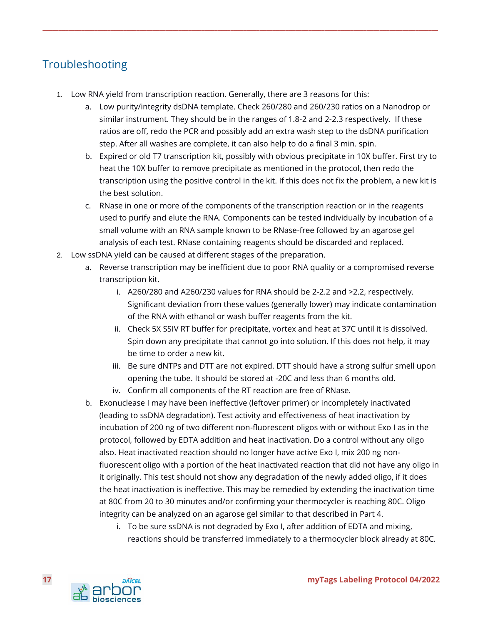# <span id="page-16-0"></span>Troubleshooting

- 1. Low RNA yield from transcription reaction. Generally, there are 3 reasons for this:
	- a. Low purity/integrity dsDNA template. Check 260/280 and 260/230 ratios on a Nanodrop or similar instrument. They should be in the ranges of 1.8-2 and 2-2.3 respectively. If these ratios are off, redo the PCR and possibly add an extra wash step to the dsDNA purification step. After all washes are complete, it can also help to do a final 3 min. spin.

- b. Expired or old T7 transcription kit, possibly with obvious precipitate in 10X buffer. First try to heat the 10X buffer to remove precipitate as mentioned in the protocol, then redo the transcription using the positive control in the kit. If this does not fix the problem, a new kit is the best solution.
- c. RNase in one or more of the components of the transcription reaction or in the reagents used to purify and elute the RNA. Components can be tested individually by incubation of a small volume with an RNA sample known to be RNase-free followed by an agarose gel analysis of each test. RNase containing reagents should be discarded and replaced.
- 2. Low ssDNA yield can be caused at different stages of the preparation.
	- a. Reverse transcription may be inefficient due to poor RNA quality or a compromised reverse transcription kit.
		- i. A260/280 and A260/230 values for RNA should be 2-2.2 and >2.2, respectively. Significant deviation from these values (generally lower) may indicate contamination of the RNA with ethanol or wash buffer reagents from the kit.
		- ii. Check 5X SSIV RT buffer for precipitate, vortex and heat at 37C until it is dissolved. Spin down any precipitate that cannot go into solution. If this does not help, it may be time to order a new kit.
		- iii. Be sure dNTPs and DTT are not expired. DTT should have a strong sulfur smell upon opening the tube. It should be stored at -20C and less than 6 months old.
		- iv. Confirm all components of the RT reaction are free of RNase.
	- b. Exonuclease I may have been ineffective (leftover primer) or incompletely inactivated (leading to ssDNA degradation). Test activity and effectiveness of heat inactivation by incubation of 200 ng of two different non-fluorescent oligos with or without Exo I as in the protocol, followed by EDTA addition and heat inactivation. Do a control without any oligo also. Heat inactivated reaction should no longer have active Exo I, mix 200 ng nonfluorescent oligo with a portion of the heat inactivated reaction that did not have any oligo in it originally. This test should not show any degradation of the newly added oligo, if it does the heat inactivation is ineffective. This may be remedied by extending the inactivation time at 80C from 20 to 30 minutes and/or confirming your thermocycler is reaching 80C. Oligo integrity can be analyzed on an agarose gel similar to that described in Part 4.
		- i. To be sure ssDNA is not degraded by Exo I, after addition of EDTA and mixing, reactions should be transferred immediately to a thermocycler block already at 80C.